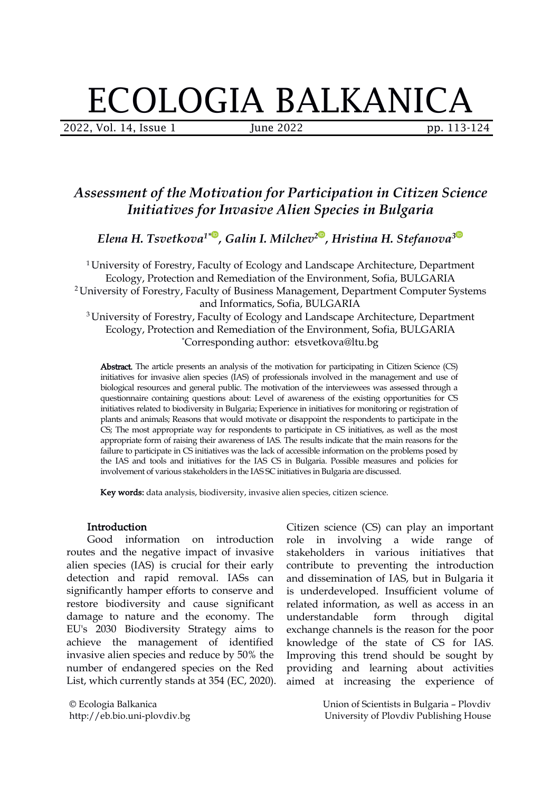# ECOLOGIA BALKANICA

2022, Vol. 14, Issue 1 June 2022 pp. 113-124

## *Assessment of the Motivation for Participation in Citizen Science Initiatives for Invasive Alien Species in Bulgaria*

*Elena H. Tsvetkova 1\* , Galin I. Milchev [2](https://orcid.org/0000-0003-0356-6555) , Hristina H. Stefanova 3*

<sup>1</sup> University of Forestry, Faculty of Ecology and Landscape Architecture, Department Ecology, Protection and Remediation of the Environment, Sofia, BULGARIA <sup>2</sup> University of Forestry, Faculty of Business Management, Department Computer Systems and Informatics, Sofia, BULGARIA <sup>3</sup> University of Forestry, Faculty of Ecology and Landscape Architecture, Department

Ecology, Protection and Remediation of the Environment, Sofia, BULGARIA \*Corresponding author: etsvetkova@ltu.bg

Abstract. The article presents an analysis of the motivation for participating in Citizen Science (CS) initiatives for invasive alien species (IAS) of professionals involved in the management and use of biological resources and general public. The motivation of the interviewees was assessed through a questionnaire containing questions about: Level of awareness of the existing opportunities for CS initiatives related to biodiversity in Bulgaria; Experience in initiatives for monitoring or registration of plants and animals; Reasons that would motivate or disappoint the respondents to participate in the CS; The most appropriate way for respondents to participate in CS initiatives, as well as the most appropriate form of raising their awareness of IAS. The results indicate that the main reasons for the failure to participate in CS initiatives was the lack of accessible information on the problems posed by the IAS and tools and initiatives for the IAS CS in Bulgaria. Possible measures and policies for involvement of various stakeholders in the IAS SC initiatives in Bulgaria are discussed.

Key words: data analysis, biodiversity, invasive alien species, citizen science.

#### **Introduction**

Good information on introduction routes and the negative impact of invasive alien species (IAS) is crucial for their early detection and rapid removal. IASs can significantly hamper efforts to conserve and restore biodiversity and cause significant damage to nature and the economy. The EU's 2030 Biodiversity Strategy aims to achieve the management of identified invasive alien species and reduce by 50% the number of endangered species on the Red List, which currently stands at 354 (EC, 2020).

© Ecologia Balkanica http://eb.bio.uni-plovdiv.bg Citizen science (CS) can play an important role in involving a wide range of stakeholders in various initiatives that contribute to preventing the introduction and dissemination of IAS, but in Bulgaria it is underdeveloped. Insufficient volume of related information, as well as access in an understandable form through digital exchange channels is the reason for the poor knowledge of the state of CS for IAS. Improving this trend should be sought by providing and learning about activities aimed at increasing the experience of

> Union of Scientists in Bulgaria – Plovdiv University of Plovdiv Publishing House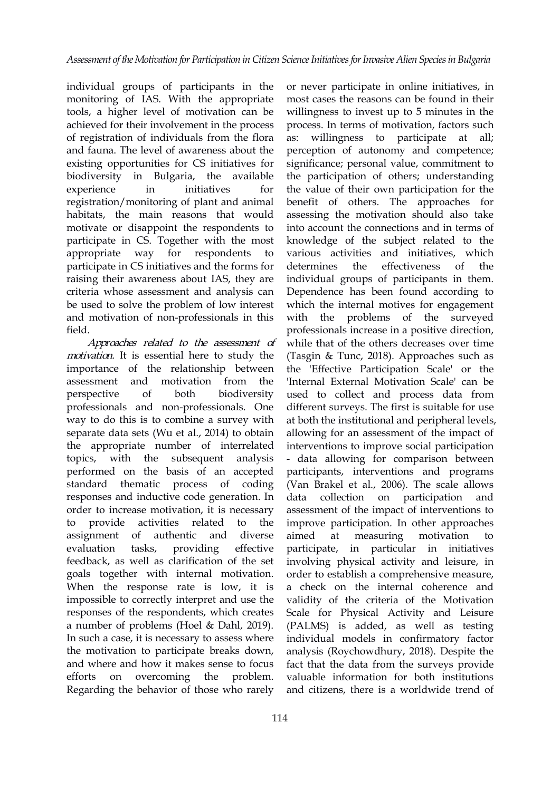individual groups of participants in the monitoring of IAS. With the appropriate tools, a higher level of motivation can be achieved for their involvement in the process of registration of individuals from the flora and fauna. The level of awareness about the existing opportunities for CS initiatives for biodiversity in Bulgaria, the available registration/monitoring of plant and animal habitats, the main reasons that would motivate or disappoint the respondents to participate in CS. Together [wit](https://orcid.org/0000-0002-7943-3049)h the most participate in CS initiatives and the forms for raising their awareness about IAS, they are criteria whose assessment and analysis can be used to solve the problem of low interest and motivation of non-professionals in this field.

Approaches related to the assessment of motivation. It is essential here to study the importance of the relationship between professionals and non-professionals. One way to do this is to combine a survey with separate data sets (Wu et al., 2014) to obtain the appropriate number of interrelated topics, with the subsequent analysis performed on the basis of an accepted standard thematic process of coding responses and inductive code generation. In order to increase motivation, it is necessary assignment of authentic and diverse evaluation tasks, providing effective participate, in feedback, as well as clarification of the set goals together with internal motivation. When the response rate is low, it is impossible to correctly interpret and use the responses of the respondents, which creates a number of problems (Hoel & Dahl, 2019). In such a case, it is necessary to assess where the motivation to participate breaks down, and where and how it makes sense to focus efforts on overcoming the problem. Regarding the behavior of those who rarely

experience in initiatives for the value of their own participation for the appropriate way for respondents to various activities and initiatives, which assessment and motivation from the 'Internal External Motivation Scale' can be perspective of both biodiversity used to collectand process data from to provide activities related to the improve-participation. In other-approaches most cases the reasons can be found in their willingness to invest up to 5 minutes in the process. In terms of motivation, factors such willingness to participate at all; perception of autonomy and competence; significance; personal value, commitment to the participation of others; understanding benefit of others. The approaches for assessing the motivation should also take into account the connections and in [te](https://orcid.org/0000-0003-2941-1746)rms of knowl[ed](https://orcid.org/0000-0003-0356-6555)ge of the subject related to the effectiveness of the individual groups of participants in them. Dependence has been found according to which the internal motives for engagement problems of the surveyed professionals increase in a positive direction, while that of the others decreases over time (Tasgin & Tunc, 2018). Approaches such as the 'Effective Participation Scale' or the different surveys. The first is suitable for use at both the institutional and peripheral levels, allowing for an assessment of the impact of interventions to improve social participation - data allowing for comparison between participants, interventions and programs (Van Brakel et al., 2006). The scale allows collection on participation and assessment of the impact of interventions to measuring motivation to particular in initiatives involving physical activity and leisure, in order to establish a comprehensive measure, a check on the internal coherence and validity of the criteria of the Motivation Scale for Physical Activity and Leisure (PALMS) is added, as well as testing individual models in confirmatory factor analysis (Roychowdhury, 2018). Despite the fact that the data from the surveys provide valuable information for both institutions and citizens, there is a worldwide trend of

or never participate in online initiatives, in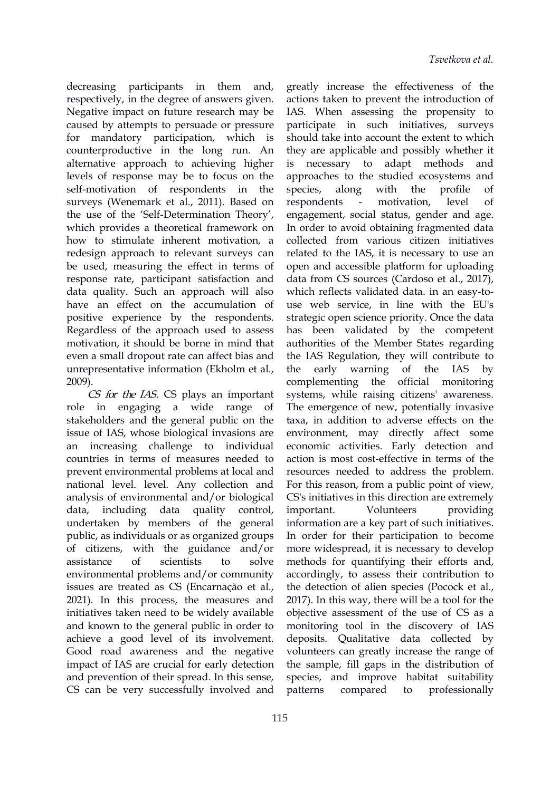decreasing participants in them and, respectively, in the degree of answers given. Negative impact on future research may be caused by attempts to persuade or pressure for mandatory participation, which is counterproductive in the long run. An alternative approach to achieving higher levels of response may be to focus on the self-motivation of respondents in the species, along surveys (Wenemark et al., 2011). Based on respondents - motivation, the use of the 'Self-Determination Theory', which provides a theoretical framework on how to stimulate inherent [mo](https://orcid.org/0000-0002-7943-3049)tivation, a redesign approach to relevant surveys can be used, measuring the effect in terms of response rate, participant satisfaction and data quality. Such an approach will also have an effect on the accumulation of positive experience by the respondents. Regardless of the approach used to assess motivation, it should be borne in mind that even a small dropout rate can affect bias and unrepresentative information (Ekholm et al., the early warning of the 2009).

CS for the IAS. CS plays an important role in engaging a wide range of stakeholders and the general public on the issue of IAS, whose biological invasions are an increasing challenge to individual countries in terms of measures needed to prevent environmental problems at local and national level. level. Any collection and analysis of environmental and/or biological data, including data quality control, important. undertaken by members of the general public, as individuals or as organized groups of citizens, with the guidance and/or environmental problems and/or community issues are treated as CS (Encarnação et al., 2021). In this process, the measures and initiatives taken need to be widely available and known to the general public in order to achieve a good level of its involvement. Good road awareness and the negative impact of IAS are crucial for early detection and prevention of their spread. In this sense, CS can be very successfully involved and patterns compared

assistance of scientists to solve methods-for-quantifying-their-efforts-and, greatly increase the effectiveness of the actions taken to prevent the introduction of IAS. When assessing the propensity to participate in such initiatives, surveys should take into account the extent to which they are applicable and possibly whether it is necessary to adapt methods and approaches to the studied ecosystems and species, along with the profile of respondents - motivation, level of engagement, social status, gender and age. In order to avoid obtaining fragmented data collect[ed](https://orcid.org/0000-0003-0356-6555) from various citizen i[nit](https://orcid.org/0000-0003-2941-1746)iatives related to the IAS, it is necessary to use an open and accessible platform for uploading data from CS sources (Cardoso et al., 2017), which reflects validated data. in an easy-to use web service, in line with the EU's strategic open science priority. Once the data has been validated by the competent authorities of the Member States regarding the IAS Regulation, they will contribute to warning of the IAS by complementing the official monitoring systems, while raising citizens' awareness. The emergence of new, potentially invasive taxa, in addition to adverse effects on the environment, may directly affect some economic activities. Early detection and action is most cost-effective in terms of the resources needed to address the problem. For this reason, from a public point of view, CS's initiatives in this direction are extremely Volunteers providing. information are a key part of such initiatives. In order for their participation to become more widespread, it is necessary to develop accordingly, to assess their contribution to the detection of alien species (Pocock et al., 2017). In this way, there will be a tool for the objective assessment of the use of CS as a monitoring tool in the discovery of IAS deposits. Qualitative data collected by volunteers can greatly increase the range of the sample, fill gaps in the distribution of species, and improve habitat suitability to professionally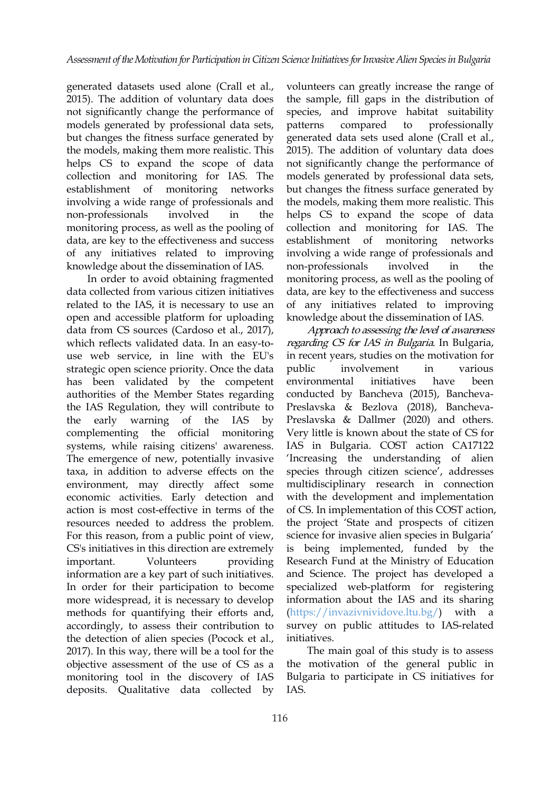generated datasets used alone (Crall et al., 2015). The addition of voluntary data does not significantly change the performance of models generated by professional data sets, but changes the fitness surface generated by the models, making them more realistic. This helps CS to expand the scope of data collection and monitoring for IAS.The establishment of monitoring networks involving a wide range of professionals and monitoring process, as well as the pooling of data, are key to the effectivene[ss](https://orcid.org/0000-0002-7943-3049) and success of any initiatives related to improving knowledge about the dissemination of IAS.

In order to avoid obtaining fragmented data collected from various citizen initiatives related to the IAS, it is necessary to use an open and accessible platform for uploading data from CS sources (Cardoso et al., 2017), which reflects validated data. In an easy-to use web service, in line with the EU's strategic open science priority. Once the data has been validated by the competent authorities of the Member States regarding the IAS Regulation, they will contribute to the early warning of the IAS by complementing the official monitoring systems, while raising citizens' awareness. The emergence of new, potentially invasive taxa, in addition to adverse effects on the environment, may directly affect some economic activities. Early detection and action is most cost-effective in terms of the resources needed to address the problem. For this reason, from a public point of view, CS's initiatives in this direction are extremely information are a key part of such initiatives. In order for their participation to become more widespread, it is necessary to develop methods for quantifying their efforts and, accordingly, to assess their contribution to the detection of alien species (Pocock et al., 2017). In this way, there will be a tool for the objective assessment of the use of CS as a monitoring tool in the discovery of IAS deposits. Qualitative data collected by

non-professionals involved in the helps CS to expand the scope of data volunteers can greatly increase the range of the sample, fill gaps in the distribution of species, and improve habitat suitability to professionally generated data sets used alone (Crall et al., 2015). The addition of voluntary data does not significantly change the performance of models generated by professional data sets, but changes the fitness surface generated by the models, making them more realistic. This collection and monitoring for IAS. The establi[sh](https://orcid.org/0000-0003-0356-6555)ment of monitoring [net](https://orcid.org/0000-0003-2941-1746)works involving a wide range of professionals and non-professionals involved in the monitoring process, as well as the pooling of data, are key to the effectiveness and success of any initiatives related to improving knowledge about the dissemination of IAS.

important. Volunteers providing Research Fund at the Ministry of Education Approach to assessing the level of awareness regarding CS for IAS in Bulgaria. In Bulgaria, in recent years, studies on the motivation for involvement in various environmental initiatives have been conducted by Bancheva (2015), Bancheva- Preslavska & Bezlova (2018), Bancheva- Preslavska & Dallmer (2020) and others. Very little is known about the state of CS for IAS in Bulgaria. COST action CA17122 'Increasing the understanding of alien species through citizen science', addresses multidisciplinary research in connection with the development and implementation of CS. In implementation of this COST action, the project 'State and prospects of citizen science for invasive alien species in Bulgaria' is being implemented, funded by the and Science. The project has developed a specialized web-platform for registering information about the IAS and its sharing [\(https://invazivnividove.ltu.bg/](https://invazivnividove.ltu.bg/)) with a survey on public attitudes to IAS-related initiatives.

The main goal of this study is to assess the motivation of the general public in Bulgaria to participate in CS initiatives for IAS.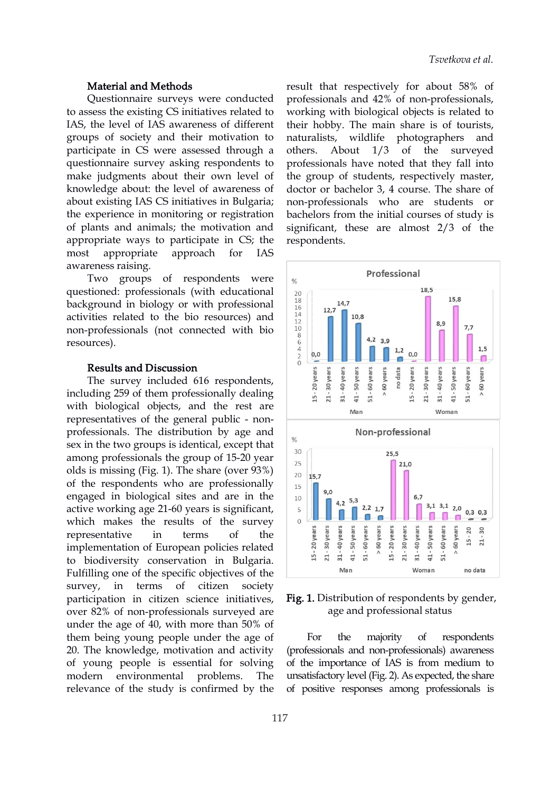#### Material and Methods

Questionnaire surveys were conducted to assess the existing CS initiatives related to IAS, the level of IAS awareness of different groups of society and their motivation to participate in CS were assessed through a others. About 1/3 of questionnaire survey asking respondents to make judgments about their own level of knowledge about: the level of awareness of about existing IAS CS initiatives in Bulgaria; the experience in monitoring or registration of plants and animals; the motivation and appropriate ways to participa[te](https://orcid.org/0000-0002-7943-3049) in CS; the most appropriate approach for IAS awareness raising.

questioned: professionals (with educational  $\frac{20}{18}$ background in biology or with professional  $\begin{bmatrix} 18 \\ 16 \\ 14 \end{bmatrix}$  12.7 activities related to the bio resources) and non-professionals (not connected with bio resources).

Results and Discussion<br>The survey included 616 respondents,<br>ading 259 of them professionally dealing The survey included 616 respondents, **is the survey included 616 respondents,**<br>including 259 of them professionally dealing with biological objects, and the rest are representatives of the general public - non professionals. The distribution by age and  $\Big|_{{\mathcal X}}$  Non-professional sex in the two groups is identical, except that  $\frac{1}{30}$ among professionals the group of 15-20 year  $\frac{30}{25}$ olds is missing (Fig. 1). The share (over 93%)  $\begin{array}{|c|c|c|}\n\hline\n & 20 & 15.7\n\end{array}$ of the respondents who are professionally  $\begin{bmatrix} 15 \end{bmatrix}$ engaged in biological sites and are in the 10 active working age 21-60 years is significant, which makes the results of the survey<br>representative in terms of the survey representative in terms of the implementation of European policies related<br>to biodiversity conservation in Bulgaria representative in terms of the representative in terms of the same is a series of the same series in terms of the same series of the implementation of European policies related to biodiversity conservation in Bulgaria to biodiversity conservation in Bulgaria.  $\begin{bmatrix} 4 & 3 & 8 \\ 1 & 1 & 1 \end{bmatrix}$ Fulfilling one of the specific objectives of the survey, in terms of citizen society participation in citizen science initiatives, over 82% of non-professionals surveyed are under the age of 40, with more than  $50\%$  of them being young people under the age of 20. The knowledge, motivation and activity of young people is essential for solving modern environmental problems. The relevance of the study is confirmed by the

result that respectively for about 58% of professionals and 42% of non-professionals, working with biological objects is related to their hobby. The main share is of tourists, photographers and the surveyed professionals have noted that they fall into the group of students, respectively master, doctor or bachelor 3, 4 course. The share of non-professionals who are students or bachelors from the initial courses of study is significant, these are almost 2/3 [o](https://orcid.org/0000-0003-2941-1746)f the respo[nde](https://orcid.org/0000-0003-0356-6555)nts.



Fig. 1. Distribution of respondents by gender, age and professional status

majority of respondents (professionals and non-professionals) awareness of the importance of IAS is from medium to unsatisfactory level (Fig. 2). As expected, the share of positive responses among professionals is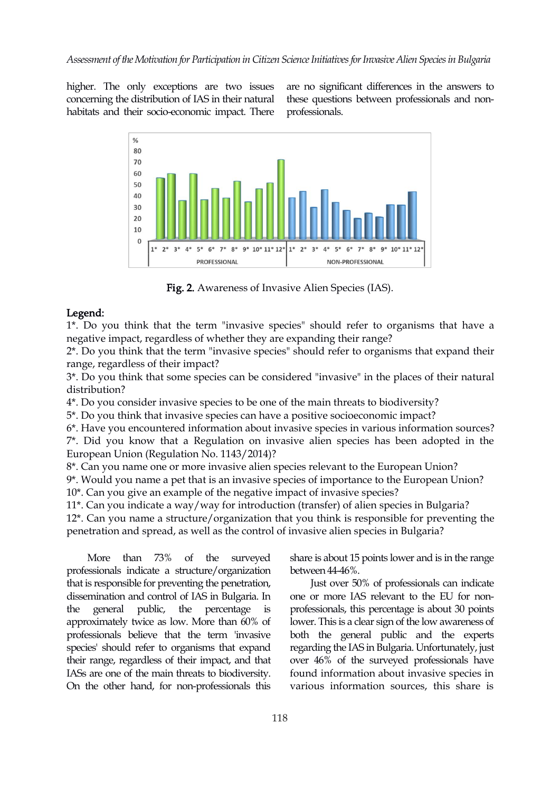higher. The only exceptions are two issues concerning the distribution of IAS in their natural habitats and their socio-economic impact. There are no significant differences in the answers to these questions between professionals and non professionals.



Fig. 2. Awareness of Invasive Alien Species (IAS).<br>Legend:

1\*. Do you think that the term "invasive species" should refer to organisms that have a negative impact, regardless of whether they are expanding their range?

2\*. Do you think that the term "invasive species" should refer to organisms that expand their range, regardless of their impact?

3\*. Do you think that some species can be considered "invasive" in the places of their natural distribution?

4\*. Do you consider invasive species to be one of the main threats to biodiversity?

5\*. Do you think that invasive species can have a positive socioeconomic impact?

6\*. Have you encountered information about invasive species in various information sources?  $7^*$ . Did you know that a Regulation on invasive alien species has been adopted in the European Union (Regulation No. 1143/2014)?

8\*. Can you name one or more invasive alien species relevant to the European Union?

9\*. Would you name a pet that is an invasive species of importance to the European Union? 10\*. Can you give an example of the negative impact of invasive species?

11\*. Can you indicate a way/way for introduction (transfer) of alien species in Bulgaria?

 $12^*$ . Can you name a structure/organization that you think is responsible for preventing the penetration and spread, as well as the control of invasive alien species in Bulgaria?

professionals indicate a structure/organization that is responsible for preventing the penetration, dissemination and control of IAS in Bulgaria. In the general public, the percentage is approximately twice as low.More than 60% of professionals believe that the term 'invasive species' should refer to organisms that expand their range, regardless of their impact, and that IASs are one of the main threats to biodiversity. On the other hand, for non-professionals this

More than 73% of the surveyed share is about 15 points lower and is in the range between 44-46%.

> Just over 50% of professionals can indicate one or more IAS relevant to the EU for nonprofessionals, this percentage is about 30 points lower. This is a clear sign of the low awareness of both the general public and the experts regarding the IAS in Bulgaria. Unfortunately, just over 46% of the surveyed professionals have found information about invasive species in various information sources, this share is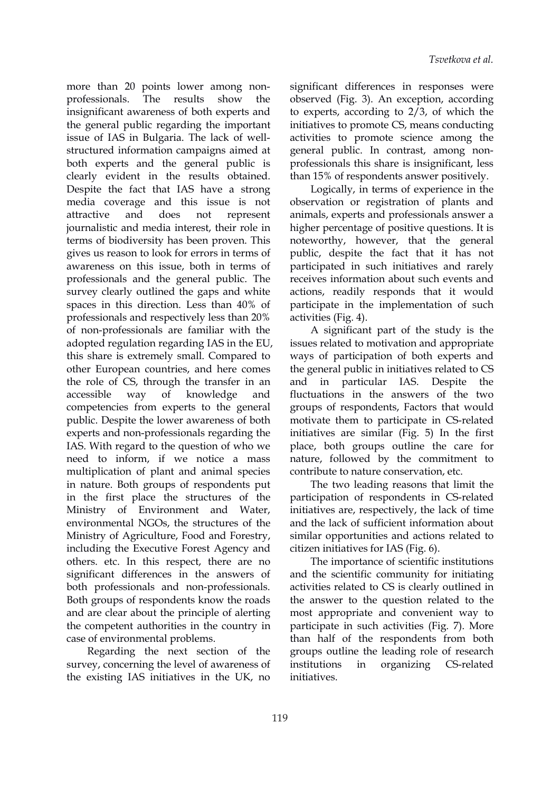more than 20 points lower among non professionals. The results show the observed (Fig. 3). An exception, according insignificant awareness of both experts and the general public regarding the important issue of IAS in Bulgaria. The lack of well structured information campaigns aimed at both experts and the general public is clearly evident in the results obtained. Despite the fact that IAS have a strong media coverage and this issue is not journalistic and media interest, their role in terms of biodiversity has been [pr](https://orcid.org/0000-0002-7943-3049)oven. This gives us reason to look for errors in terms of awareness on this issue, both in terms of professionals and the general public. The survey clearly outlined the gaps and white spaces in this direction. Less than 40% of professionals and respectively less than 20% of non-professionals are familiar with the adopted regulation regarding IAS in the EU, this share is extremely small. Compared to other European countries, and here comes the role of CS, through the transfer in an accessible way of knowledge and fluctuations in the answers of the two competencies from experts to the general public. Despite the lower awareness of both experts and non-professionals regarding the IAS. With regard to the question of who we need to inform, if we notice a mass multiplication of plant and animal species in nature. Both groups of respondents put in the first place the structures of the Ministry of Environment and Water, environmental NGOs, the structures of the Ministry of Agriculture, Food and Forestry, including the Executive Forest Agency and others, etc. In this respect, there are no significant differences in the answers of both professionals and non-professionals. Both groups of respondents know the roads and are clear about the principle of alerting the competent authorities in the country in case of environmental problems.

Regarding the next section of the survey, concerning the level of awareness of institutions the existing IAS initiatives in the UK, no

significant differences in responses were to experts, according to 2/3, of which the initiatives to promote CS, means conducting activities to promote science among the general public. In contrast, among non professionals this share is insignificant, less than 15% of respondents answer positively.

attractive and does not represent animals, experts and professionals answer a Logically, in terms of experience in the observation or registration of plants and higher percentage of positive questi[on](https://orcid.org/0000-0003-2941-1746)s. It is note[wor](https://orcid.org/0000-0003-0356-6555)thy, however, that the general public, despite the fact that it has not participated in such initiatives and rarely receives information about such events and actions, readily responds that it would participate in the implementation of such activities (Fig. 4).

A significant part of the study is the issues related to motivation and appropriate ways of participation of both experts and the general public in initiatives related to CS and in particular IAS. Despite the groups of respondents, Factors that would motivate them to participate in CS-related initiatives are similar (Fig.  $5$ ) In the first place, both groups outline the care for nature, followed by the commitment to contribute to nature conservation, etc.

The two leading reasons that limit the participation of respondents in CS-related initiatives are, respectively, the lack of time and the lack of sufficient information about similar opportunities and actions related to citizen initiatives for IAS (Fig. 6).

The importance of scientific institutions and the scientific community for initiating activities related to CS is clearly outlined in the answer to the question related to the most appropriate and convenient way to participate in such activities (Fig. 7). More than half of the respondents from both groups outline the leading role of research in organizing CS-related initiatives.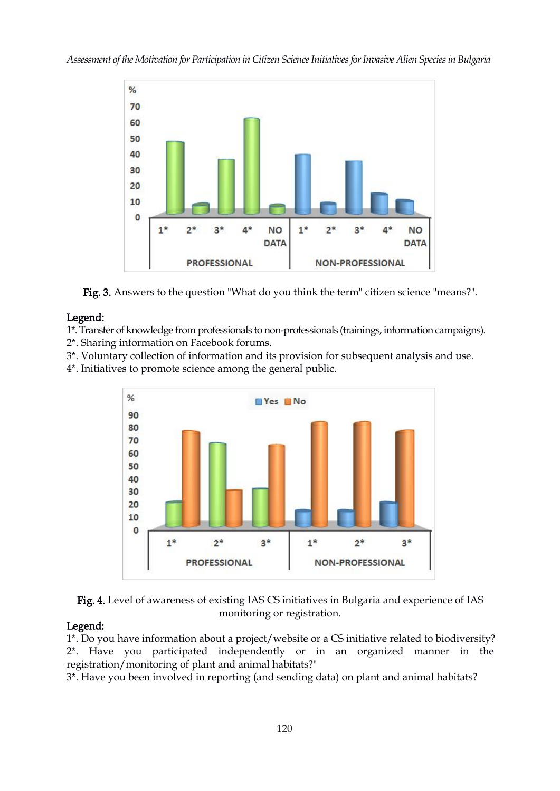*Assessment oftheMotivation for Participation in Citizen ScienceInitiativesforInvasive Alien Speciesin Bulgaria*



Fig. 3. Answers to the question "What do you think the term" citizen science "means?".

### Legend:

1\*. Transfer of knowledge from professionals to non-professionals (trainings, information campaigns).

- 2\*. Sharing information on Facebook forums.
- 3\*. Voluntary collection of information and its provision for subsequent analysis and use.
- 4\*. Initiatives to promote science among the general public.



Fig. 4. Level of awareness of existing IAS CS initiatives in Bulgaria and experience of IAS monitoring or registration.

### Legend:

1\*. Do you have information about a project/website or a CS initiative related to biodiversity? 2\*. Have you participated independently or in an organized manner in the registration/monitoring of plant and animal habitats?"

3\*. Have you been involved in reporting (and sending data) on plant and animal habitats?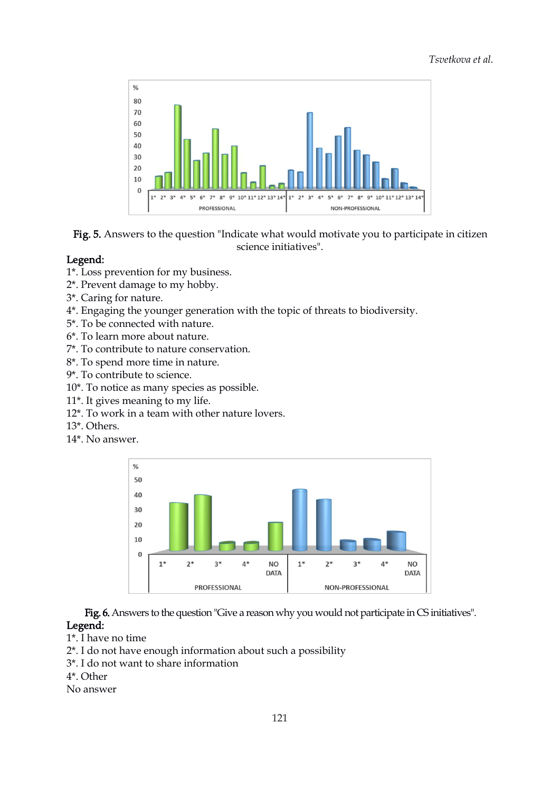

Fig. 5. Answers to the questio[n](https://orcid.org/0000-0002-7943-3049) "Indicate what would [m](https://orcid.org/0000-0003-0356-6555)otivate you to participate in [ci](https://orcid.org/0000-0003-2941-1746)tizen science initiatives".

### Legend:

- 1\*. Loss prevention for my business.
- 2\*. Prevent damage to my hobby.
- 3\*. Caring for nature.
- 4\*. Engaging the younger generation with the topic of threats to biodiversity.
- 5\*. To be connected with nature.
- 6\*. To learn more about nature.
- 7\*. To contribute to nature conservation.
- 8\*. To spend more time in nature.
- 9\*. To contribute to science.
- 10\*. To notice as many species as possible.
- 11\*. It gives meaning to my life.
- 12\*. To work in a team with other nature lovers.
- 13\*. Others.
- 14\*. No answer.



Fig. 6. Answers to the question "Give a reason why you would not participate in CS initiatives". Legend:

- 1\*. I have no time
- 2\*. I do not have enough information about such a possibility
- 3<sup>\*</sup>. I do not want to share information
- 4\*. Other

No answer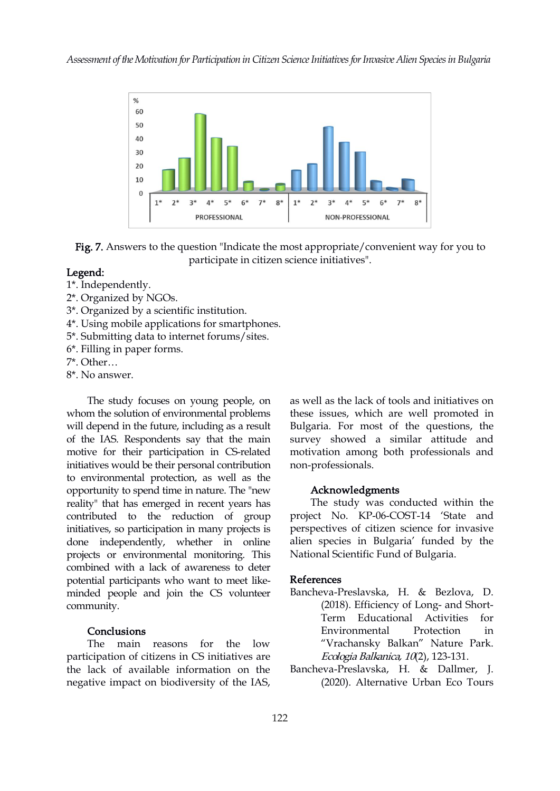

Fig. 7. Answers to the question "Indicate the most appropriate/convenient way for you to participate in citizen science initiatives".

#### Legend:

- 1\*. Independently.
- 2\*. Organized by NGOs.
- 3\*. Organized by ascientific institution.
- 4\*. Using mobile applications for smartphones.
- 5\*. Submitting data to internet forums/sites.
- 6\*. Filling in paper forms.
- 7\*. Other…
- 8\*. No answer.

The study focuses on young people, on whom the solution of environmental problems will depend in the future, including as a result of the IAS. Respondents say that the main motive for their participation in CS-related initiatives would be their personal contribution to environmental protection, as well as the opportunity to spend time in nature. The "new reality" that has emerged in recent years has contributed to the reduction of group initiatives, so participation in many projects is done independently, whether in online projects or environmental monitoring. This combined with a lack of awareness to deter potential participants who want to meet like minded people and join the CS volunteer community.

#### **Conclusions**

The main reasons for the low participation of citizens in CS initiatives are the lack of available information on the negative impact on biodiversity of the IAS, as well as the lack of tools and initiatives on these issues, which arewell promoted in Bulgaria. For most of the questions, the survey showed a similar attitude and motivation among both professionals and non-professionals.

#### Acknowledgments

The study was conducted within the project No. KP-06-COST-14 'State and perspectives of citizen science for invasive alien species in Bulgaria' funded by the National Scientific Fund of Bulgaria.

#### References

- Bancheva-Preslavska, H. & Bezlova, D. (2018). Efficiency of Long- and Short- Term Educational Activities for Environmental Protection in "Vrachansky Balkan" Nature Park. Ecologia Balkanica, <sup>10</sup>(2), 123-131.
- Bancheva-Preslavska, H. & Dallmer, J. (2020). Alternative Urban Eco Tours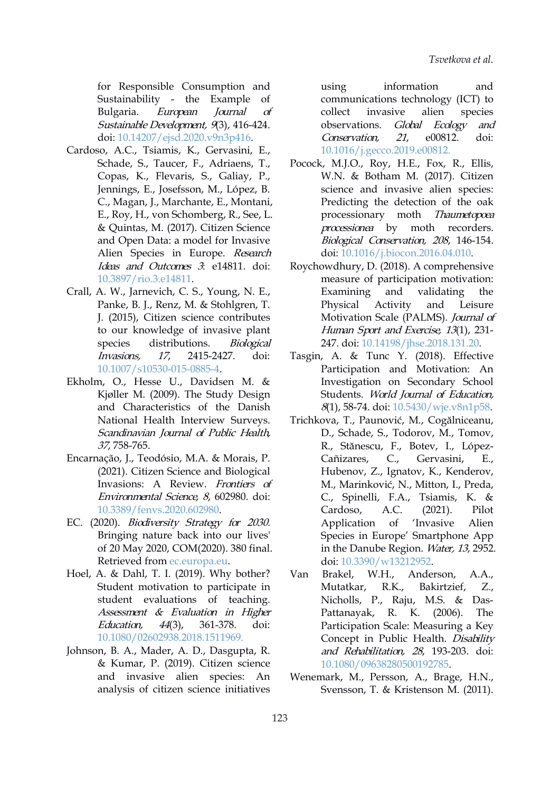for Responsible Consumption and Sustainability - the Example of Bulgaria. *European Journal of* collect Sustainable Development, 9(3), 416-424. doi: [10.14207/ejsd.2020.v9n3p416.](https://doi.org/10.14207/ejsd.2020.v9n3p416)

- Cardoso, A.C., Tsiamis, K., Gervasini, E., Schade, S., Taucer, F., Adriaens, T., Copas, K., Flevaris, S., Galiay, P., Jennings, E., Josefsson, M., López, B. C., Magan, J., Marchante, E., Montani, E., Roy, H., von Schomberg, R., See, L. & Quintas, M. (2017). Ci[tiz](https://orcid.org/0000-0002-7943-3049)en Science and Open Data: a model for Invasive Alien Species in Europe. Research Ideas and Outcomes 3: e14811. doi: [10.3897/rio.3.e14811.](https://doi.org/10.3897/rio.3.e14811)
- Crall, A. W., Jarnevich, C. S., Young, N. E., Panke, B. J., Renz, M. & Stohlgren, T. J. (2015), Citizen science contributes to our knowledge of invasive plant species distributions. *Biological* Invasions, 17, 2415-2427. doi: [10.1007/s10530-015-0885-4](https://doi.org/10.1007/s10530-015-0885-4).
- Ekholm, O., Hesse U., Davidsen M. & Kjøller M. (2009). The Study Design and Characteristics of the Danish National Health Interview Surveys. Scandinavian Journal of Public Health, 37, 758-765.
- Encarnação, J., Teodósio, M.A. & Morais, P. (2021). Citizen Science and Biological Invasions: A Review. Frontiers of Environmental Science, 8, 602980. doi: [10.3389/fenvs.2020.602980.](https://doi.org/10.3389/fenvs.2020.602980)
- EC. (2020). Biodiversity Strategy for 2030. Bringing nature back into our lives' of 20 May 2020, COM(2020). 380 final. Retrieved from [ec.europa.eu](https://ec.europa.eu/environment/strategy/biodiversity-strategy-2030_en).
- Hoel, A. & Dahl, T. I. (2019). Why bother? Van Brakel, Student motivation to participate in student evaluations of teaching. Assessment & Evaluation in Higher Education, 44(3), 361-378. doi: [10.1080/02602938.2018.1511969](https://doi.org/10.1080/02602938.2018.1511969).
- Johnson, B. A., Mader, A. D., Dasgupta, R. & Kumar, P. (2019). Citizen science and invasive alien species: An analysis of citizen science initiatives

information and communications technology (ICT) to invasive alien species observations. Global Ecology and Conservation, 21, e00812. doi: [10.1016/j.gecco.2019.e00812](https://doi.org/10.1016/j.gecco.2019.e00812).

- Pocock, M.J.O., Roy, H.E., Fox, R., Ellis, W.N. & Botham M. (2017). Citizen science and invasive alien species: Predicting the detection of the oak processionary moth Thaumetopoea moth recorders. [B](https://orcid.org/0000-0003-0356-6555)iological Conservation, <sup>208</sup>, [14](https://orcid.org/0000-0003-2941-1746)6-154. doi: [10.1016/j.biocon.2016.04.010.](https://doi.org/10.1016/j.biocon.2016.04.010)
- Roychowdhury, D. (2018). A comprehensive measure of participation motivation: Examining and validating the Activity and Leisure Motivation Scale (PALMS). Journal of Human Sport and Exercise, <sup>13</sup>(1), 231- 247. doi: [10.14198/jhse.2018.131.20](https://doi.org/10.14198/jhse.2018.131.20).
- Tasgin, A. & Tunc Y. (2018). Effective Participation and Motivation: An Investigation on Secondary School Students. World Journal of Education, 8(1), 58-74. doi: [10.5430/wje.v8n1p58](https://doi.org/10.5430/wje.v8n1p58).
- Trichkova, T., Paunović, M., Cogălniceanu, D., Schade, S., Todorov, M., Tomov, R., Stănescu, F., Botev, I., López- C., Gervasini, E., Hubenov, Z., Ignatov, K., Kenderov, M., Marinković, N., Mitton, I., Preda, C., Spinelli, F.A., Tsiamis, K. & Cardoso, A.C. (2021). Pilot Application of 'Invasive Alien Species in Europe' Smartphone App in the Danube Region. Water, 13, 2952. doi: [10.3390/w13212952](https://doi.org/10.3390/w13212952).
- W.H., Anderson, A.A., Mutatkar, R.K., Bakirtzief, Z., Nicholls, P., Raju, M.S. & Das- Pattanayak, R. K. (2006). The Participation Scale: Measuring a Key Concept in Public Health. Disability and Rehabilitation, 28, 193-203. doi: [10.1080/09638280500192785](https://doi.org/10.1080/09638280500192785).
- Wenemark, M., Persson, A., Brage, H.N., Svensson, T. & Kristenson M. (2011).